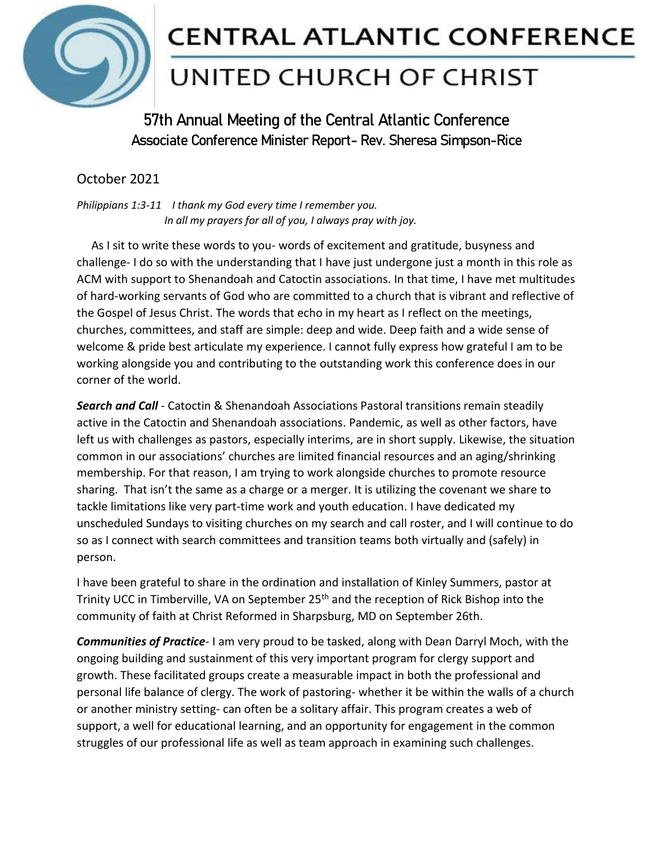

## **CENTRAL ATLANTIC CONFERENCE**

## UNITED CHURCH OF CHRIST

**57th Annual Meeting of the Central Atlantic Conference Associate Conference Minister Report- Rev. Sheresa Simpson-Rice**

## October 2021

*Philippians 1:3-11 I thank my God every time I remember you. In all my prayers for all of you, I always pray with joy.*

 As I sit to write these words to you- words of excitement and gratitude, busyness and challenge- I do so with the understanding that I have just undergone just a month in this role as ACM with support to Shenandoah and Catoctin associations. In that time, I have met multitudes of hard-working servants of God who are committed to a church that is vibrant and reflective of the Gospel of Jesus Christ. The words that echo in my heart as I reflect on the meetings, churches, committees, and staff are simple: deep and wide. Deep faith and a wide sense of welcome & pride best articulate my experience. I cannot fully express how grateful I am to be working alongside you and contributing to the outstanding work this conference does in our corner of the world.

*Search and Call* - Catoctin & Shenandoah Associations Pastoral transitions remain steadily active in the Catoctin and Shenandoah associations. Pandemic, as well as other factors, have left us with challenges as pastors, especially interims, are in short supply. Likewise, the situation common in our associations' churches are limited financial resources and an aging/shrinking membership. For that reason, I am trying to work alongside churches to promote resource sharing. That isn't the same as a charge or a merger. It is utilizing the covenant we share to tackle limitations like very part-time work and youth education. I have dedicated my unscheduled Sundays to visiting churches on my search and call roster, and I will continue to do so as I connect with search committees and transition teams both virtually and (safely) in person.

I have been grateful to share in the ordination and installation of Kinley Summers, pastor at Trinity UCC in Timberville, VA on September 25<sup>th</sup> and the reception of Rick Bishop into the community of faith at Christ Reformed in Sharpsburg, MD on September 26th.

*Communities of Practice*- I am very proud to be tasked, along with Dean Darryl Moch, with the ongoing building and sustainment of this very important program for clergy support and growth. These facilitated groups create a measurable impact in both the professional and personal life balance of clergy. The work of pastoring- whether it be within the walls of a church or another ministry setting- can often be a solitary affair. This program creates a web of support, a well for educational learning, and an opportunity for engagement in the common struggles of our professional life as well as team approach in examining such challenges.